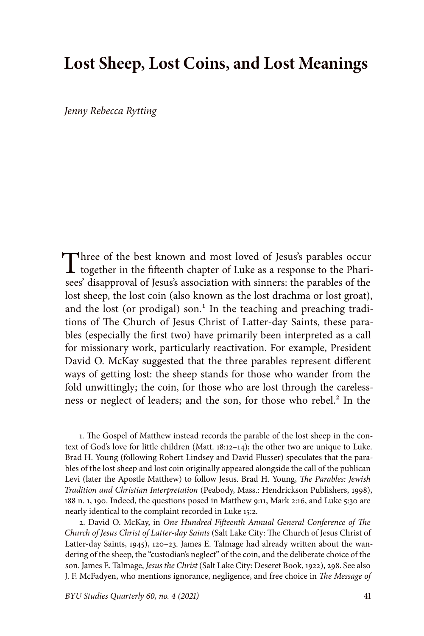# **Lost Sheep, Lost Coins, and Lost Meanings**

*Jenny Rebecca Rytting*

Three of the best known and most loved of Jesus's parables occur<br>together in the fifteenth chapter of Luke as a response to the Pharisees' disapproval of Jesus's association with sinners: the parables of the lost sheep, the lost coin (also known as the lost drachma or lost groat), and the lost (or prodigal) son.<sup>1</sup> In the teaching and preaching traditions of The Church of Jesus Christ of Latter-day Saints, these parables (especially the first two) have primarily been interpreted as a call for missionary work, particularly reactivation. For example, President David O. McKay suggested that the three parables represent different ways of getting lost: the sheep stands for those who wander from the fold unwittingly; the coin, for those who are lost through the carelessness or neglect of leaders; and the son, for those who rebel.<sup>2</sup> In the

<sup>1.</sup> The Gospel of Matthew instead records the parable of the lost sheep in the context of God's love for little children (Matt. 18:12–14); the other two are unique to Luke. Brad H. Young (following Robert Lindsey and David Flusser) speculates that the parables of the lost sheep and lost coin originally appeared alongside the call of the publican Levi (later the Apostle Matthew) to follow Jesus. Brad H. Young, *The Parables: Jewish Tradition and Christian Interpretation* (Peabody, Mass.: Hendrickson Publishers, 1998), 188 n. 1, 190. Indeed, the questions posed in Matthew 9:11, Mark 2:16, and Luke 5:30 are nearly identical to the complaint recorded in Luke 15:2.

<sup>2.</sup> David O. McKay, in *One Hundred Fifteenth Annual General Conference of The Church of Jesus Christ of Latter-day Saints* (Salt Lake City: The Church of Jesus Christ of Latter-day Saints, 1945), 120–23. James E. Talmage had already written about the wandering of the sheep, the "custodian's neglect" of the coin, and the deliberate choice of the son. James E. Talmage, *Jesus the Christ* (Salt Lake City: Deseret Book, 1922), 298. See also J. F. McFadyen, who mentions ignorance, negligence, and free choice in *The Message of*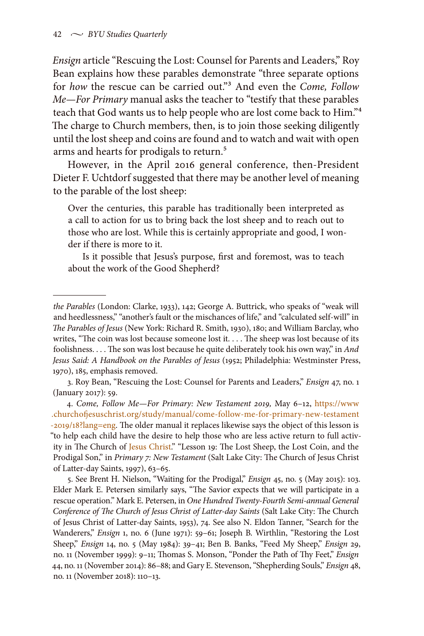*Ensign* article "Rescuing the Lost: Counsel for Parents and Leaders," Roy Bean explains how these parables demonstrate "three separate options for *how* the rescue can be carried out."3 And even the *Come, Follow Me—For Primary* manual asks the teacher to "testify that these parables teach that God wants us to help people who are lost come back to Him."4 The charge to Church members, then, is to join those seeking diligently until the lost sheep and coins are found and to watch and wait with open arms and hearts for prodigals to return.<sup>5</sup>

However, in the April 2016 general conference, then-President Dieter F. Uchtdorf suggested that there may be another level of meaning to the parable of the lost sheep:

Over the centuries, this parable has traditionally been interpreted as a call to action for us to bring back the lost sheep and to reach out to those who are lost. While this is certainly appropriate and good, I wonder if there is more to it.

Is it possible that Jesus's purpose, first and foremost, was to teach about the work of the Good Shepherd?

*the Parables* (London: Clarke, 1933), 142; George A. Buttrick, who speaks of "weak will and heedlessness," "another's fault or the mischances of life," and "calculated self-will" in *The Parables of Jesus* (New York: Richard R. Smith, 1930), 180; and William Barclay, who writes, "The coin was lost because someone lost it. . . . The sheep was lost because of its foolishness. . . . The son was lost because he quite deliberately took his own way," in *And Jesus Said: A Handbook on the Parables of Jesus* (1952; Philadelphia: Westminster Press, 1970), 185, emphasis removed.

<sup>3.</sup> Roy Bean, "Rescuing the Lost: Counsel for Parents and Leaders," *Ensign* 47, no. 1 (January 2017): 59.

<sup>4.</sup> *Come, Follow Me—For Primary: New Testament 2019,* May 6–12, [https://www](https://www.churchofjesuschrist.org/study/manual/come-follow-me-for-primary-new-testament-2019/18?lang=eng) [.churchofjesuschrist.org/study/manual/come-follow-me-for-primary-new-testament](https://www.churchofjesuschrist.org/study/manual/come-follow-me-for-primary-new-testament-2019/18?lang=eng) [-2019/18?lang=eng.](https://www.churchofjesuschrist.org/study/manual/come-follow-me-for-primary-new-testament-2019/18?lang=eng) The older manual it replaces likewise says the object of this lesson is "to help each child have the desire to help those who are less active return to full activity in The Church of [Jesus Christ](http://www.mormon.org/beliefs/jesus-christ)." "Lesson 19: The Lost Sheep, the Lost Coin, and the Prodigal Son," in *Primary 7: New Testament* (Salt Lake City: The Church of Jesus Christ of Latter-day Saints, 1997), 63–65.

<sup>5.</sup> See Brent H. Nielson, "Waiting for the Prodigal," *Ensign* 45, no. 5 (May 2015): 103. Elder Mark E. Petersen similarly says, "The Savior expects that we will participate in a rescue operation." Mark E. Petersen, in *One Hundred Twenty-Fourth Semi-annual General Conference of The Church of Jesus Christ of Latter-day Saints* (Salt Lake City: The Church of Jesus Christ of Latter-day Saints, 1953), 74. See also N. Eldon Tanner, "Search for the Wanderers," *Ensign* 1, no. 6 (June 1971): 59–61; Joseph B. Wirthlin, "Restoring the Lost Sheep," *Ensign* 14, no. 5 (May 1984): 39–41; Ben B. Banks, "Feed My Sheep," *Ensign* 29, no. 11 (November 1999): 9–11; Thomas S. Monson, "Ponder the Path of Thy Feet," *Ensign* 44, no. 11 (November 2014): 86–88; and Gary E. Stevenson, "Shepherding Souls," *Ensign* 48, no. 11 (November 2018): 110–13.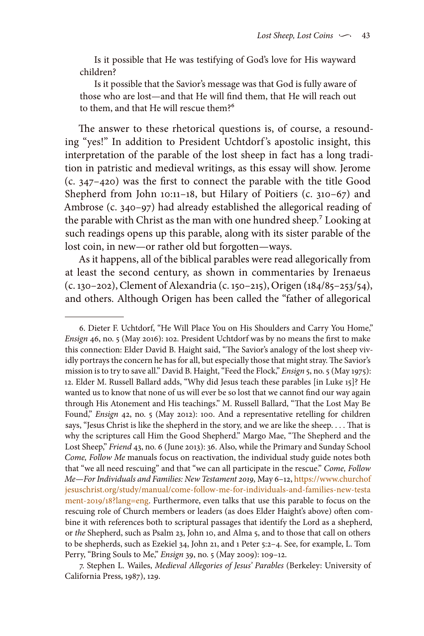Is it possible that He was testifying of God's love for His wayward children?

Is it possible that the Savior's message was that God is fully aware of those who are lost—and that He will find them, that He will reach out to them, and that He will rescue them?6

The answer to these rhetorical questions is, of course, a resounding "yes!" In addition to President Uchtdorf's apostolic insight, this interpretation of the parable of the lost sheep in fact has a long tradition in patristic and medieval writings, as this essay will show. Jerome (c. 347–420) was the first to connect the parable with the title Good Shepherd from John 10:11–18, but Hilary of Poitiers (c. 310–67) and Ambrose (c. 340–97) had already established the allegorical reading of the parable with Christ as the man with one hundred sheep.<sup>7</sup> Looking at such readings opens up this parable, along with its sister parable of the lost coin, in new—or rather old but forgotten—ways.

As it happens, all of the biblical parables were read allegorically from at least the second century, as shown in commentaries by Irenaeus (c. 130–202), Clement of Alexandria (c. 150–215), Origen (184/85–253/54), and others. Although Origen has been called the "father of allegorical

<sup>6.</sup> Dieter F. Uchtdorf, "He Will Place You on His Shoulders and Carry You Home," *Ensign* 46, no. 5 (May 2016): 102. President Uchtdorf was by no means the first to make this connection: Elder David B. Haight said, "The Savior's analogy of the lost sheep vividly portrays the concern he has for all, but especially those that might stray. The Savior's mission is to try to save all." David B. Haight, "Feed the Flock," *Ensign* 5, no. 5 (May 1975): 12. Elder M. Russell Ballard adds, "Why did Jesus teach these parables [in Luke 15]? He wanted us to know that none of us will ever be so lost that we cannot find our way again through His Atonement and His teachings." M. Russell Ballard, "That the Lost May Be Found," *Ensign* 42, no. 5 (May 2012): 100. And a representative retelling for children says, "Jesus Christ is like the shepherd in the story, and we are like the sheep. . . . That is why the scriptures call Him the Good Shepherd." Margo Mae, "The Shepherd and the Lost Sheep," *Friend* 43, no. 6 (June 2013): 36. Also, while the Primary and Sunday School *Come, Follow Me* manuals focus on reactivation, the individual study guide notes both that "we all need rescuing" and that "we can all participate in the rescue." *Come, Follow Me—For Individuals and Families: New Testament 2019,* May 6–12, [https://www.churchof](https://www.churchofjesuschrist.org/study/manual/come-follow-me-for-individuals-and-families-new-testament-2019/18?lang=eng) [jesuschrist.org/study/manual/come-follow-me-for-individuals-and-families-new-testa](https://www.churchofjesuschrist.org/study/manual/come-follow-me-for-individuals-and-families-new-testament-2019/18?lang=eng) [ment-2019/18?lang=eng](https://www.churchofjesuschrist.org/study/manual/come-follow-me-for-individuals-and-families-new-testament-2019/18?lang=eng). Furthermore, even talks that use this parable to focus on the rescuing role of Church members or leaders (as does Elder Haight's above) often combine it with references both to scriptural passages that identify the Lord as a shepherd, or *the* Shepherd, such as Psalm 23, John 10, and Alma 5, and to those that call on others to be shepherds, such as Ezekiel 34, John 21, and 1 Peter 5:2–4. See, for example, L. Tom Perry, "Bring Souls to Me," *Ensign* 39, no. 5 (May 2009): 109–12.

<sup>7.</sup> Stephen L. Wailes, *Medieval Allegories of Jesus' Parables* (Berkeley: University of California Press, 1987), 129.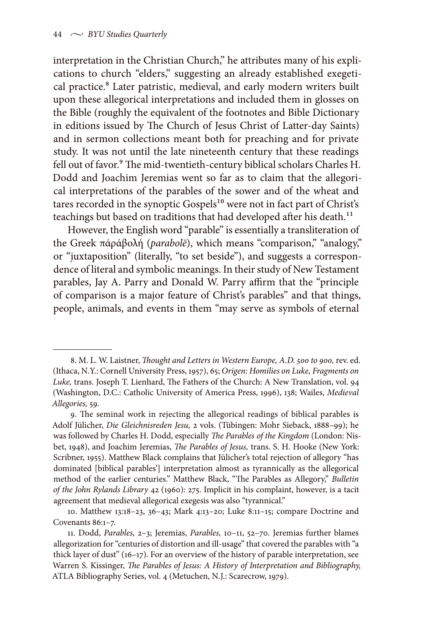interpretation in the Christian Church," he attributes many of his explications to church "elders," suggesting an already established exegetical practice.<sup>8</sup> Later patristic, medieval, and early modern writers built upon these allegorical interpretations and included them in glosses on the Bible (roughly the equivalent of the footnotes and Bible Dictionary in editions issued by The Church of Jesus Christ of Latter-day Saints) and in sermon collections meant both for preaching and for private study. It was not until the late nineteenth century that these readings fell out of favor.<sup>9</sup> The mid-twentieth-century biblical scholars Charles H. Dodd and Joachim Jeremias went so far as to claim that the allegorical interpretations of the parables of the sower and of the wheat and tares recorded in the synoptic Gospels<sup>10</sup> were not in fact part of Christ's teachings but based on traditions that had developed after his death.<sup>11</sup>

However, the English word "parable" is essentially a transliteration of the Greek πάράβολή (*parabolē*), which means "comparison," "analogy," or "juxtaposition" (literally, "to set beside"), and suggests a correspondence of literal and symbolic meanings. In their study of New Testament parables, Jay A. Parry and Donald W. Parry affirm that the "principle of comparison is a major feature of Christ's parables" and that things, people, animals, and events in them "may serve as symbols of eternal

<sup>8.</sup> M. L. W. Laistner, *Thought and Letters in Western Europe, A.D. 500 to 900,* rev. ed. (Ithaca, N.Y.: Cornell University Press, 1957), 65; *Origen: Homilies on Luke, Fragments on Luke,* trans. Joseph T. Lienhard, The Fathers of the Church: A New Translation, vol. 94 (Washington, D.C.: Catholic University of America Press, 1996), 138; Wailes, *Medieval Allegories,* 59.

<sup>9.</sup> The seminal work in rejecting the allegorical readings of biblical parables is Adolf Jülicher, *Die Gleichnisreden Jesu,* 2 vols. (Tübingen: Mohr Sieback, 1888–99); he was followed by Charles H. Dodd, especially *The Parables of the Kingdom* (London: Nisbet, 1948), and Joachim Jeremias, *The Parables of Jesus,* trans. S. H. Hooke (New York: Scribner, 1955). Matthew Black complains that Jülicher's total rejection of allegory "has dominated [biblical parables'] interpretation almost as tyrannically as the allegorical method of the earlier centuries." Matthew Black, "The Parables as Allegory," *Bulletin of the John Rylands Library* 42 (1960): 275. Implicit in his complaint, however, is a tacit agreement that medieval allegorical exegesis was also "tyrannical."

<sup>10.</sup> Matthew 13:18–23, 36–43; Mark 4:13–20; Luke 8:11–15; compare Doctrine and Covenants 86:1–7.

<sup>11.</sup> Dodd, *Parables,* 2–3; Jeremias, *Parables,* 10–11, 52–70. Jeremias further blames allegorization for "centuries of distortion and ill-usage" that covered the parables with "a thick layer of dust" (16–17). For an overview of the history of parable interpretation, see Warren S. Kissinger, *The Parables of Jesus: A History of Interpretation and Bibliography,*  ATLA Bibliography Series, vol. 4 (Metuchen, N.J.: Scarecrow, 1979).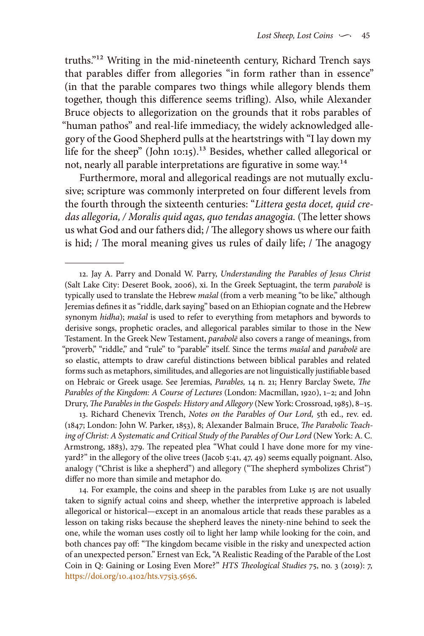truths."12 Writing in the mid-nineteenth century, Richard Trench says that parables differ from allegories "in form rather than in essence" (in that the parable compares two things while allegory blends them together, though this difference seems trifling). Also, while Alexander Bruce objects to allegorization on the grounds that it robs parables of "human pathos" and real-life immediacy, the widely acknowledged allegory of the Good Shepherd pulls at the heartstrings with "I lay down my life for the sheep" (John 10:15).<sup>13</sup> Besides, whether called allegorical or not, nearly all parable interpretations are figurative in some way.<sup>14</sup>

Furthermore, moral and allegorical readings are not mutually exclusive; scripture was commonly interpreted on four different levels from the fourth through the sixteenth centuries: "*Littera gesta docet, quid credas allegoria, / Moralis quid agas, quo tendas anagogia.* (The letter shows us what God and our fathers did; / The allegory shows us where our faith is hid; / The moral meaning gives us rules of daily life; / The anagogy

13. Richard Chenevix Trench, *Notes on the Parables of Our Lord,* 5th ed., rev. ed. (1847; London: John W. Parker, 1853), 8; Alexander Balmain Bruce, *The Parabolic Teach*ing of Christ: A Systematic and Critical Study of the Parables of Our Lord (New York: A.C. Armstrong, 1883), 279. The repeated plea "What could I have done more for my vineyard?" in the allegory of the olive trees (Jacob 5:41, 47, 49) seems equally poignant. Also, analogy ("Christ is like a shepherd") and allegory ("The shepherd symbolizes Christ") differ no more than simile and metaphor do.

14. For example, the coins and sheep in the parables from Luke 15 are not usually taken to signify actual coins and sheep, whether the interpretive approach is labeled allegorical or historical—except in an anomalous article that reads these parables as a lesson on taking risks because the shepherd leaves the ninety-nine behind to seek the one, while the woman uses costly oil to light her lamp while looking for the coin, and both chances pay off: "The kingdom became visible in the risky and unexpected action of an unexpected person." Ernest van Eck, "A Realistic Reading of the Parable of the Lost Coin in Q: Gaining or Losing Even More?" *HTS Theological Studies* 75, no. 3 (2019): 7, [https://doi.org/10.4102/hts.v75i3.5656.](https://doi.org/10.4102/hts.v75i3.5656)

<sup>12.</sup> Jay A. Parry and Donald W. Parry, *Understanding the Parables of Jesus Christ* (Salt Lake City: Deseret Book, 2006), xi. In the Greek Septuagint, the term *parabolē* is typically used to translate the Hebrew *mašal* (from a verb meaning "to be like," although Jeremias defines it as "riddle, dark saying" based on an Ethiopian cognate and the Hebrew synonym *hidha*); *mašal* is used to refer to everything from metaphors and bywords to derisive songs, prophetic oracles, and allegorical parables similar to those in the New Testament. In the Greek New Testament, *parabolē* also covers a range of meanings, from "proverb," "riddle," and "rule" to "parable" itself. Since the terms *mašal* and *parabolē* are so elastic, attempts to draw careful distinctions between biblical parables and related forms such as metaphors, similitudes, and allegories are not linguistically justifiable based on Hebraic or Greek usage. See Jeremias, *Parables,* 14 n. 21; Henry Barclay Swete, *The Parables of the Kingdom: A Course of Lectures* (London: Macmillan, 1920), 1–2; and John Drury, *The Parables in the Gospels: History and Allegory* (New York: Crossroad, 1985), 8–15.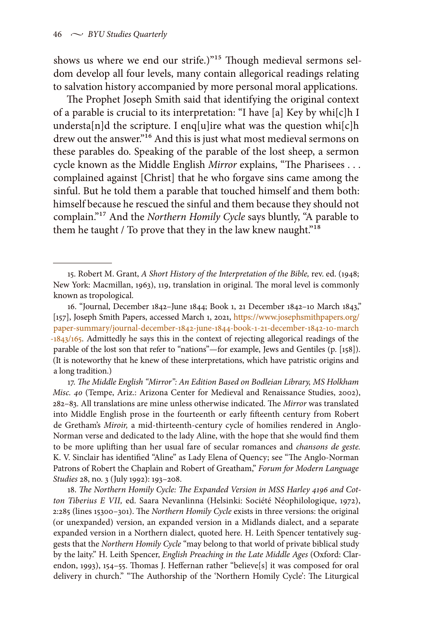shows us where we end our strife.)"15 Though medieval sermons seldom develop all four levels, many contain allegorical readings relating to salvation history accompanied by more personal moral applications.

The Prophet Joseph Smith said that identifying the original context of a parable is crucial to its interpretation: "I have [a] Key by whi[c]h I understa[n]d the scripture. I enq[u]ire what was the question whi[c]h drew out the answer."<sup>16</sup> And this is just what most medieval sermons on these parables do. Speaking of the parable of the lost sheep, a sermon cycle known as the Middle English *Mirror* explains, "The Pharisees . . . complained against [Christ] that he who forgave sins came among the sinful. But he told them a parable that touched himself and them both: himself because he rescued the sinful and them because they should not complain."17 And the *Northern Homily Cycle* says bluntly, "A parable to them he taught / To prove that they in the law knew naught."<sup>18</sup>

17. *The Middle English "Mirror": An Edition Based on Bodleian Library, MS Holkham Misc. 40* (Tempe, Ariz.: Arizona Center for Medieval and Renaissance Studies, 2002), 282–83. All translations are mine unless otherwise indicated. The *Mirror* was translated into Middle English prose in the fourteenth or early fifteenth century from Robert de Gretham's *Miroir,* a mid-thirteenth-century cycle of homilies rendered in Anglo-Norman verse and dedicated to the lady Aline, with the hope that she would find them to be more uplifting than her usual fare of secular romances and *chansons de geste.* K. V. Sinclair has identified "Aline" as Lady Elena of Quency; see "The Anglo-Norman Patrons of Robert the Chaplain and Robert of Greatham," *Forum for Modern Language Studies* 28, no. 3 (July 1992): 193–208.

18. *The Northern Homily Cycle: The Expanded Version in MSS Harley 4196 and Cotton Tiberius E VII,* ed. Saara Nevanlinna (Helsinki: Société Néophilologique, 1972), 2:285 (lines 15300–301). The *Northern Homily Cycle* exists in three versions: the original (or unexpanded) version, an expanded version in a Midlands dialect, and a separate expanded version in a Northern dialect, quoted here. H. Leith Spencer tentatively suggests that the *Northern Homily Cycle* "may belong to that world of private biblical study by the laity." H. Leith Spencer, *English Preaching in the Late Middle Ages* (Oxford: Clarendon, 1993), 154–55. Thomas J. Heffernan rather "believe[s] it was composed for oral delivery in church." "The Authorship of the 'Northern Homily Cycle': The Liturgical

<sup>15.</sup> Robert M. Grant, *A Short History of the Interpretation of the Bible,* rev. ed. (1948; New York: Macmillan, 1963), 119, translation in original. The moral level is commonly known as tropological.

<sup>16. &</sup>quot;Journal, December 1842–June 1844; Book 1, 21 December 1842–10 March 1843," [157], Joseph Smith Papers, accessed March 1, 2021, [https://www.josephsmithpapers.org/](https://www.josephsmithpapers.org/paper-summary/journal-december-1842-june-1844-book-1-21-december-1842-10-march-1843/165) [paper-summary/journal-december-1842-june-1844-book-1-21-december-1842-10-march](https://www.josephsmithpapers.org/paper-summary/journal-december-1842-june-1844-book-1-21-december-1842-10-march-1843/165) [-1843/165](https://www.josephsmithpapers.org/paper-summary/journal-december-1842-june-1844-book-1-21-december-1842-10-march-1843/165). Admittedly he says this in the context of rejecting allegorical readings of the parable of the lost son that refer to "nations"—for example, Jews and Gentiles (p. [158]). (It is noteworthy that he knew of these interpretations, which have patristic origins and a long tradition.)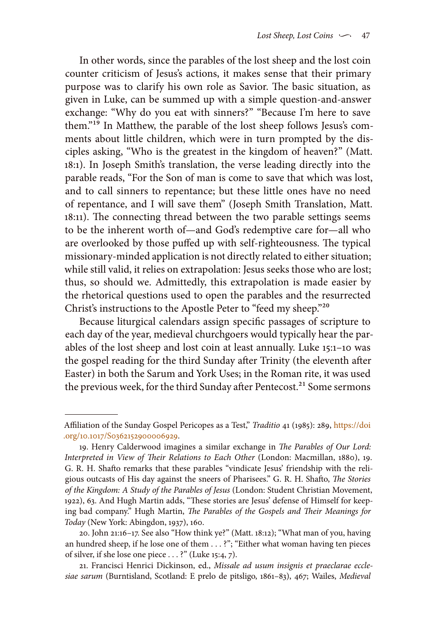In other words, since the parables of the lost sheep and the lost coin counter criticism of Jesus's actions, it makes sense that their primary purpose was to clarify his own role as Savior. The basic situation, as given in Luke, can be summed up with a simple question-and-answer exchange: "Why do you eat with sinners?" "Because I'm here to save them."19 In Matthew, the parable of the lost sheep follows Jesus's comments about little children, which were in turn prompted by the disciples asking, "Who is the greatest in the kingdom of heaven?" (Matt. 18:1). In Joseph Smith's translation, the verse leading directly into the parable reads, "For the Son of man is come to save that which was lost, and to call sinners to repentance; but these little ones have no need of repentance, and I will save them" (Joseph Smith Translation, Matt. 18:11). The connecting thread between the two parable settings seems to be the inherent worth of—and God's redemptive care for—all who are overlooked by those puffed up with self-righteousness. The typical missionary-minded application is not directly related to either situation; while still valid, it relies on extrapolation: Jesus seeks those who are lost; thus, so should we. Admittedly, this extrapolation is made easier by the rhetorical questions used to open the parables and the resurrected Christ's instructions to the Apostle Peter to "feed my sheep."20

Because liturgical calendars assign specific passages of scripture to each day of the year, medieval churchgoers would typically hear the parables of the lost sheep and lost coin at least annually. Luke 15:1–10 was the gospel reading for the third Sunday after Trinity (the eleventh after Easter) in both the Sarum and York Uses; in the Roman rite, it was used the previous week, for the third Sunday after Pentecost.<sup>21</sup> Some sermons

Affiliation of the Sunday Gospel Pericopes as a Test," *Traditio* 41 (1985): 289, [https://doi](https://doi.org/10.1017/S0362152900006929) [.org/10.1017/S0362152900006929](https://doi.org/10.1017/S0362152900006929).

<sup>19.</sup> Henry Calderwood imagines a similar exchange in *The Parables of Our Lord: Interpreted in View of Their Relations to Each Other* (London: Macmillan, 1880), 19. G. R. H. Shafto remarks that these parables "vindicate Jesus' friendship with the religious outcasts of His day against the sneers of Pharisees." G. R. H. Shafto, *The Stories of the Kingdom: A Study of the Parables of Jesus* (London: Student Christian Movement, 1922), 63. And Hugh Martin adds, "These stories are Jesus' defense of Himself for keeping bad company." Hugh Martin, *The Parables of the Gospels and Their Meanings for Today* (New York: Abingdon, 1937), 160.

<sup>20.</sup> John 21:16–17. See also "How think ye?" (Matt. 18:12); "What man of you, having an hundred sheep, if he lose one of them . . . ?"; "Either what woman having ten pieces of silver, if she lose one piece . . . ?" (Luke 15:4, 7).

<sup>21.</sup> Francisci Henrici Dickinson, ed., *Missale ad usum insignis et praeclarae ecclesiae sarum* (Burntisland, Scotland: E prelo de pitsligo, 1861–83), 467; Wailes, *Medieval*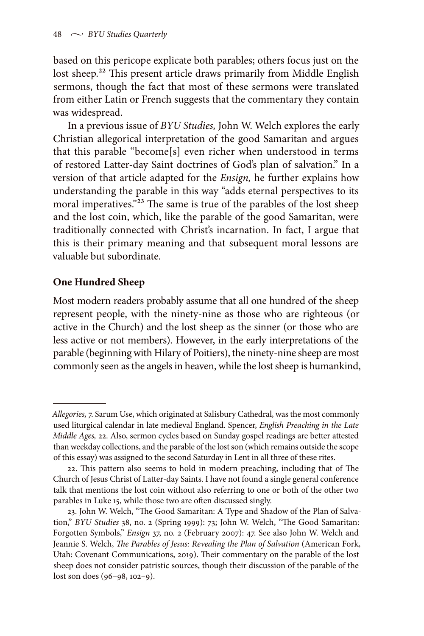based on this pericope explicate both parables; others focus just on the lost sheep.<sup>22</sup> This present article draws primarily from Middle English sermons, though the fact that most of these sermons were translated from either Latin or French suggests that the commentary they contain was widespread.

In a previous issue of *BYU Studies,* John W. Welch explores the early Christian allegorical interpretation of the good Samaritan and argues that this parable "become[s] even richer when understood in terms of restored Latter-day Saint doctrines of God's plan of salvation." In a version of that article adapted for the *Ensign,* he further explains how understanding the parable in this way "adds eternal perspectives to its moral imperatives."<sup>23</sup> The same is true of the parables of the lost sheep and the lost coin, which, like the parable of the good Samaritan, were traditionally connected with Christ's incarnation. In fact, I argue that this is their primary meaning and that subsequent moral lessons are valuable but subordinate.

### **One Hundred Sheep**

Most modern readers probably assume that all one hundred of the sheep represent people, with the ninety-nine as those who are righteous (or active in the Church) and the lost sheep as the sinner (or those who are less active or not members). However, in the early interpretations of the parable (beginning with Hilary of Poitiers), the ninety-nine sheep are most commonly seen as the angels in heaven, while the lost sheep is humankind,

*Allegories,* 7. Sarum Use, which originated at Salisbury Cathedral, was the most commonly used liturgical calendar in late medieval England. Spencer, *English Preaching in the Late Middle Ages,* 22. Also, sermon cycles based on Sunday gospel readings are better attested than weekday collections, and the parable of the lost son (which remains outside the scope of this essay) was assigned to the second Saturday in Lent in all three of these rites.

<sup>22.</sup> This pattern also seems to hold in modern preaching, including that of The Church of Jesus Christ of Latter-day Saints. I have not found a single general conference talk that mentions the lost coin without also referring to one or both of the other two parables in Luke 15, while those two are often discussed singly.

<sup>23.</sup> John W. Welch, "The Good Samaritan: A Type and Shadow of the Plan of Salvation," *BYU Studies* 38, no. 2 (Spring 1999): 73; John W. Welch, "The Good Samaritan: Forgotten Symbols," *Ensign* 37, no. 2 (February 2007): 47. See also John W. Welch and Jeannie S. Welch, *The Parables of Jesus: Revealing the Plan of Salvation* (American Fork, Utah: Covenant Communications, 2019). Their commentary on the parable of the lost sheep does not consider patristic sources, though their discussion of the parable of the lost son does (96–98, 102–9).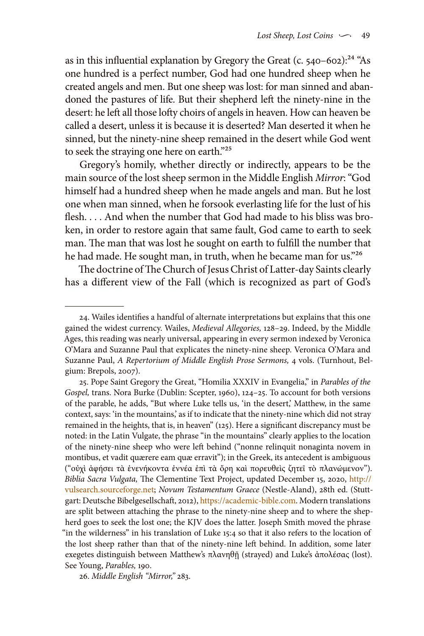as in this influential explanation by Gregory the Great (c.  $540-602$ ):<sup>24</sup> "As one hundred is a perfect number, God had one hundred sheep when he created angels and men. But one sheep was lost: for man sinned and abandoned the pastures of life. But their shepherd left the ninety-nine in the desert: he left all those lofty choirs of angels in heaven. How can heaven be called a desert, unless it is because it is deserted? Man deserted it when he sinned, but the ninety-nine sheep remained in the desert while God went to seek the straying one here on earth."25

Gregory's homily, whether directly or indirectly, appears to be the main source of the lost sheep sermon in the Middle English *Mirror*: "God himself had a hundred sheep when he made angels and man. But he lost one when man sinned, when he forsook everlasting life for the lust of his flesh. . . . And when the number that God had made to his bliss was broken, in order to restore again that same fault, God came to earth to seek man. The man that was lost he sought on earth to fulfill the number that he had made. He sought man, in truth, when he became man for us."26

The doctrine of The Church of Jesus Christ of Latter-day Saints clearly has a different view of the Fall (which is recognized as part of God's

26. *Middle English "Mirror,"* 283.

<sup>24.</sup> Wailes identifies a handful of alternate interpretations but explains that this one gained the widest currency. Wailes, *Medieval Allegories,* 128–29. Indeed, by the Middle Ages, this reading was nearly universal, appearing in every sermon indexed by Veronica O'Mara and Suzanne Paul that explicates the ninety-nine sheep. Veronica O'Mara and Suzanne Paul, *A Repertorium of Middle English Prose Sermons,* 4 vols. (Turnhout, Belgium: Brepols, 2007).

<sup>25.</sup> Pope Saint Gregory the Great, "Homilia XXXIV in Evangelia," in *Parables of the Gospel,* trans. Nora Burke (Dublin: Scepter, 1960), 124–25. To account for both versions of the parable, he adds, "But where Luke tells us, 'in the desert,' Matthew, in the same context, says: 'in the mountains,' as if to indicate that the ninety-nine which did not stray remained in the heights, that is, in heaven" (125). Here a significant discrepancy must be noted: in the Latin Vulgate, the phrase "in the mountains" clearly applies to the location of the ninety-nine sheep who were left behind ("nonne relinquit nonaginta novem in montibus, et vadit quærere eam quæ erravit"); in the Greek, its antecedent is ambiguous ("οὐχὶ ἀφήσει τὰ ἐνενήκοντα ἐννέα ἐπὶ τὰ ὄρη καὶ πορευθεὶς ζητεῖ τὸ πλανώμενον"). *Biblia Sacra Vulgata,* The Clementine Text Project, updated December 15, 2020, [http://](http://vulsearch.sourceforge.net) [vulsearch.sourceforge.net;](http://vulsearch.sourceforge.net) *Novum Testamentum Graece* (Nestle-Aland), 28th ed. (Stuttgart: Deutsche Bibelgesellschaft, 2012),<https://academic-bible.com>. Modern translations are split between attaching the phrase to the ninety-nine sheep and to where the shepherd goes to seek the lost one; the KJV does the latter. Joseph Smith moved the phrase "in the wilderness" in his translation of Luke 15:4 so that it also refers to the location of the lost sheep rather than that of the ninety-nine left behind. In addition, some later exegetes distinguish between Matthew's πλανηθῇ (strayed) and Luke's ἀπολέσας (lost). See Young, *Parables,* 190.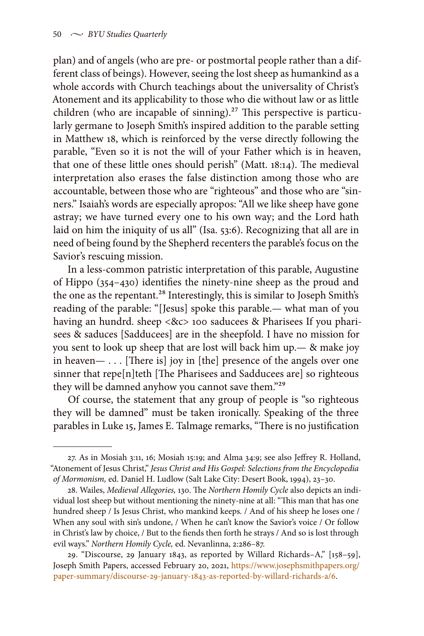plan) and of angels (who are pre- or postmortal people rather than a different class of beings). However, seeing the lost sheep as humankind as a whole accords with Church teachings about the universality of Christ's Atonement and its applicability to those who die without law or as little children (who are incapable of sinning).<sup>27</sup> This perspective is particularly germane to Joseph Smith's inspired addition to the parable setting in Matthew 18, which is reinforced by the verse directly following the parable, "Even so it is not the will of your Father which is in heaven, that one of these little ones should perish" (Matt. 18:14). The medieval interpretation also erases the false distinction among those who are accountable, between those who are "righteous" and those who are "sinners." Isaiah's words are especially apropos: "All we like sheep have gone astray; we have turned every one to his own way; and the Lord hath laid on him the iniquity of us all" (Isa. 53:6). Recognizing that all are in need of being found by the Shepherd recenters the parable's focus on the Savior's rescuing mission.

In a less-common patristic interpretation of this parable, Augustine of Hippo (354–430) identifies the ninety-nine sheep as the proud and the one as the repentant.<sup>28</sup> Interestingly, this is similar to Joseph Smith's reading of the parable: "[Jesus] spoke this parable.— what man of you having an hundrd. sheep <&c> 100 saducees & Pharisees If you pharisees & saduces [Sadducees] are in the sheepfold. I have no mission for you sent to look up sheep that are lost will back him up.— & make joy in heaven— . . . [There is] joy in [the] presence of the angels over one sinner that repe[n]teth [The Pharisees and Sadducees are] so righteous they will be damned anyhow you cannot save them."<sup>29</sup>

Of course, the statement that any group of people is "so righteous they will be damned" must be taken ironically. Speaking of the three parables in Luke 15, James E. Talmage remarks, "There is no justification

<sup>27.</sup> As in Mosiah 3:11, 16; Mosiah 15:19; and Alma 34:9; see also Jeffrey R. Holland, "Atonement of Jesus Christ," *Jesus Christ and His Gospel: Selections from the Encyclopedia of Mormonism,* ed. Daniel H. Ludlow (Salt Lake City: Desert Book, 1994), 23–30.

<sup>28.</sup> Wailes, *Medieval Allegories,* 130. The *Northern Homily Cycle* also depicts an individual lost sheep but without mentioning the ninety-nine at all: "This man that has one hundred sheep / Is Jesus Christ, who mankind keeps. / And of his sheep he loses one / When any soul with sin's undone, / When he can't know the Savior's voice / Or follow in Christ's law by choice, / But to the fiends then forth he strays / And so is lost through evil ways." *Northern Homily Cycle,* ed. Nevanlinna, 2:286–87.

<sup>29. &</sup>quot;Discourse, 29 January 1843, as reported by Willard Richards–A," [158–59], Joseph Smith Papers, accessed February 20, 2021, [https://www.josephsmithpapers.org/](https://www.josephsmithpapers.org/paper-summary/discourse-29-january-1843-as-reported-by-willard-richards-a/6) [paper-summary/discourse-29-january-1843-as-reported-by-willard-richards-a/6.](https://www.josephsmithpapers.org/paper-summary/discourse-29-january-1843-as-reported-by-willard-richards-a/6)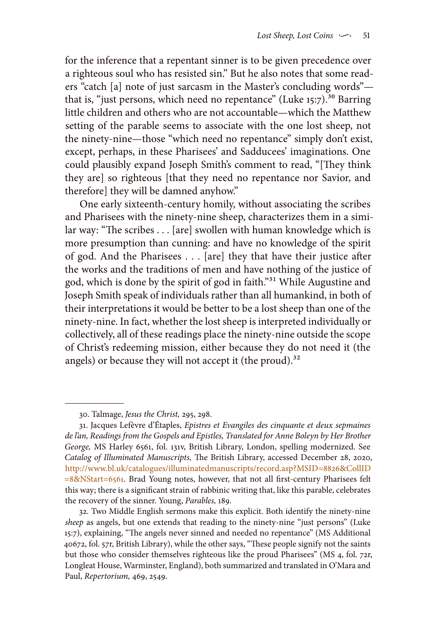for the inference that a repentant sinner is to be given precedence over a righteous soul who has resisted sin." But he also notes that some readers "catch [a] note of just sarcasm in the Master's concluding words" that is, "just persons, which need no repentance" (Luke  $15:7$ ).<sup>30</sup> Barring little children and others who are not accountable—which the Matthew setting of the parable seems to associate with the one lost sheep, not the ninety-nine—those "which need no repentance" simply don't exist, except, perhaps, in these Pharisees' and Sadducees' imaginations. One could plausibly expand Joseph Smith's comment to read, "[They think they are] so righteous [that they need no repentance nor Savior, and therefore] they will be damned anyhow."

One early sixteenth-century homily, without associating the scribes and Pharisees with the ninety-nine sheep, characterizes them in a similar way: "The scribes . . . [are] swollen with human knowledge which is more presumption than cunning: and have no knowledge of the spirit of god. And the Pharisees . . . [are] they that have their justice after the works and the traditions of men and have nothing of the justice of god, which is done by the spirit of god in faith."31 While Augustine and Joseph Smith speak of individuals rather than all humankind, in both of their interpretations it would be better to be a lost sheep than one of the ninety-nine. In fact, whether the lost sheep is interpreted individually or collectively, all of these readings place the ninety-nine outside the scope of Christ's redeeming mission, either because they do not need it (the angels) or because they will not accept it (the proud). $32$ 

<sup>30.</sup> Talmage, *Jesus the Christ,* 295, 298.

<sup>31.</sup> Jacques Lefèvre d'Étaples, *Epistres et Evangiles des cinquante et deux sepmaines de l'an, Readings from the Gospels and Epistles, Translated for Anne Boleyn by Her Brother George,* MS Harley 6561, fol. 131v, British Library, London, spelling modernized. See *Catalog of Illuminated Manuscripts,* The British Library, accessed December 28, 2020, [http://www.bl.uk/catalogues/illuminatedmanuscripts/record.asp?MSID=8826&CollID](http://www.bl.uk/catalogues/illuminatedmanuscripts/record.asp?MSID=8826&CollID=8&NStart=6561) [=8&NStart=6561](http://www.bl.uk/catalogues/illuminatedmanuscripts/record.asp?MSID=8826&CollID=8&NStart=6561). Brad Young notes, however, that not all first-century Pharisees felt this way; there is a significant strain of rabbinic writing that, like this parable, celebrates the recovery of the sinner. Young, *Parables,* 189.

<sup>32.</sup> Two Middle English sermons make this explicit. Both identify the ninety-nine *sheep* as angels, but one extends that reading to the ninety-nine "just persons" (Luke 15:7), explaining, "The angels never sinned and needed no repentance" (MS Additional 40672, fol. 57r, British Library), while the other says, "These people signify not the saints but those who consider themselves righteous like the proud Pharisees" (MS 4, fol. 72r, Longleat House, Warminster, England), both summarized and translated in O'Mara and Paul, *Repertorium,* 469, 2549.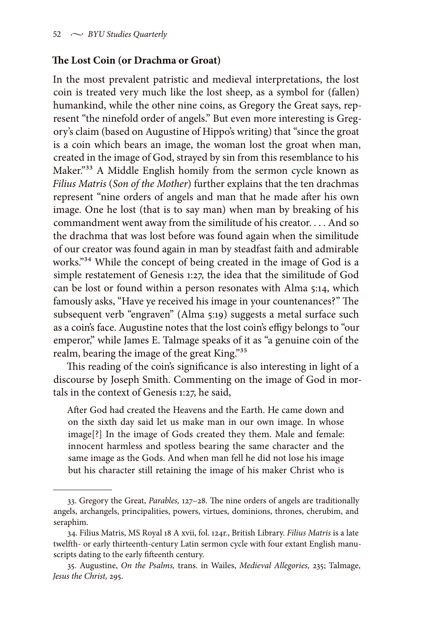#### **The Lost Coin (or Drachma or Groat)**

In the most prevalent patristic and medieval interpretations, the lost coin is treated very much like the lost sheep, as a symbol for (fallen) humankind, while the other nine coins, as Gregory the Great says, represent "the ninefold order of angels." But even more interesting is Gregory's claim (based on Augustine of Hippo's writing) that "since the groat is a coin which bears an image, the woman lost the groat when man, created in the image of God, strayed by sin from this resemblance to his Maker."33 A Middle English homily from the sermon cycle known as *Filius Matris* (*Son of the Mother*) further explains that the ten drachmas represent "nine orders of angels and man that he made after his own image. One he lost (that is to say man) when man by breaking of his commandment went away from the similitude of his creator. . . . And so the drachma that was lost before was found again when the similitude of our creator was found again in man by steadfast faith and admirable works."34 While the concept of being created in the image of God is a simple restatement of Genesis 1:27, the idea that the similitude of God can be lost or found within a person resonates with Alma 5:14, which famously asks, "Have ye received his image in your countenances?" The subsequent verb "engraven" (Alma 5:19) suggests a metal surface such as a coin's face. Augustine notes that the lost coin's effigy belongs to "our emperor," while James E. Talmage speaks of it as "a genuine coin of the realm, bearing the image of the great King."<sup>35</sup>

This reading of the coin's significance is also interesting in light of a discourse by Joseph Smith. Commenting on the image of God in mortals in the context of Genesis 1:27, he said,

After God had created the Heavens and the Earth. He came down and on the sixth day said let us make man in our own image. In whose image[?] In the image of Gods created they them. Male and female: innocent harmless and spotless bearing the same character and the same image as the Gods. And when man fell he did not lose his image but his character still retaining the image of his maker Christ who is

<sup>33.</sup> Gregory the Great, *Parables,* 127–28. The nine orders of angels are traditionally angels, archangels, principalities, powers, virtues, dominions, thrones, cherubim, and seraphim.

<sup>34.</sup> Filius Matris, MS Royal 18 A xvii, fol. 124r., British Library. *Filius Matris* is a late twelfth- or early thirteenth-century Latin sermon cycle with four extant English manuscripts dating to the early fifteenth century.

<sup>35.</sup> Augustine, *On the Psalms,* trans. in Wailes, *Medieval Allegories,* 235; Talmage, *Jesus the Christ,* 295.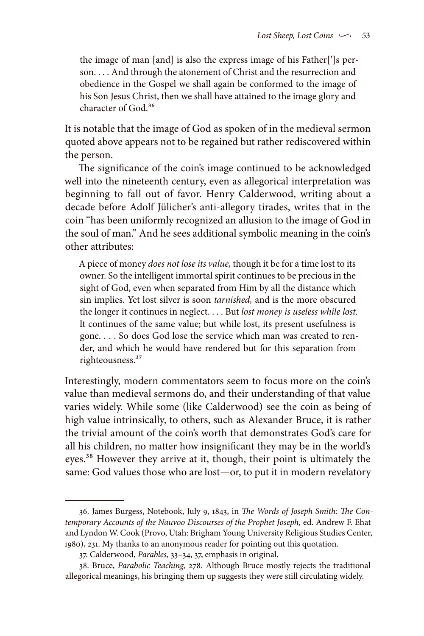the image of man [and] is also the express image of his Father[']s person. . . . And through the atonement of Christ and the resurrection and obedience in the Gospel we shall again be conformed to the image of his Son Jesus Christ, then we shall have attained to the image glory and character of God.<sup>36</sup>

It is notable that the image of God as spoken of in the medieval sermon quoted above appears not to be regained but rather rediscovered within the person.

The significance of the coin's image continued to be acknowledged well into the nineteenth century, even as allegorical interpretation was beginning to fall out of favor. Henry Calderwood, writing about a decade before Adolf Jülicher's anti-allegory tirades, writes that in the coin "has been uniformly recognized an allusion to the image of God in the soul of man." And he sees additional symbolic meaning in the coin's other attributes:

A piece of money *does not lose its value,* though it be for a time lost to its owner. So the intelligent immortal spirit continues to be precious in the sight of God, even when separated from Him by all the distance which sin implies. Yet lost silver is soon *tarnished,* and is the more obscured the longer it continues in neglect. . . . But *lost money is useless while lost.* It continues of the same value; but while lost, its present usefulness is gone. . . . So does God lose the service which man was created to render, and which he would have rendered but for this separation from righteousness.<sup>37</sup>

Interestingly, modern commentators seem to focus more on the coin's value than medieval sermons do, and their understanding of that value varies widely. While some (like Calderwood) see the coin as being of high value intrinsically, to others, such as Alexander Bruce, it is rather the trivial amount of the coin's worth that demonstrates God's care for all his children, no matter how insignificant they may be in the world's eyes.38 However they arrive at it, though, their point is ultimately the same: God values those who are lost—or, to put it in modern revelatory

<sup>36.</sup> James Burgess, Notebook, July 9, 1843, in *The Words of Joseph Smith: The Contemporary Accounts of the Nauvoo Discourses of the Prophet Joseph,* ed. Andrew F. Ehat and Lyndon W. Cook (Provo, Utah: Brigham Young University Religious Studies Center, 1980), 231. My thanks to an anonymous reader for pointing out this quotation.

<sup>37.</sup> Calderwood, *Parables,* 33–34, 37, emphasis in original.

<sup>38.</sup> Bruce, *Parabolic Teaching,* 278. Although Bruce mostly rejects the traditional allegorical meanings, his bringing them up suggests they were still circulating widely.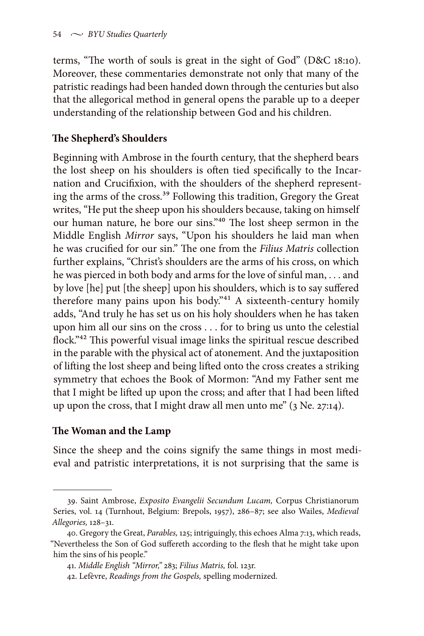terms, "The worth of souls is great in the sight of God" (D&C 18:10). Moreover, these commentaries demonstrate not only that many of the patristic readings had been handed down through the centuries but also that the allegorical method in general opens the parable up to a deeper understanding of the relationship between God and his children.

## **The Shepherd's Shoulders**

Beginning with Ambrose in the fourth century, that the shepherd bears the lost sheep on his shoulders is often tied specifically to the Incarnation and Crucifixion, with the shoulders of the shepherd representing the arms of the cross.<sup>39</sup> Following this tradition, Gregory the Great writes, "He put the sheep upon his shoulders because, taking on himself our human nature, he bore our sins."40 The lost sheep sermon in the Middle English *Mirror* says, "Upon his shoulders he laid man when he was crucified for our sin." The one from the *Filius Matris* collection further explains, "Christ's shoulders are the arms of his cross, on which he was pierced in both body and arms for the love of sinful man, . . . and by love [he] put [the sheep] upon his shoulders, which is to say suffered therefore many pains upon his body."<sup>41</sup> A sixteenth-century homily adds, "And truly he has set us on his holy shoulders when he has taken upon him all our sins on the cross . . . for to bring us unto the celestial flock."42 This powerful visual image links the spiritual rescue described in the parable with the physical act of atonement. And the juxtaposition of lifting the lost sheep and being lifted onto the cross creates a striking symmetry that echoes the Book of Mormon: "And my Father sent me that I might be lifted up upon the cross; and after that I had been lifted up upon the cross, that I might draw all men unto me" (3 Ne. 27:14).

## **The Woman and the Lamp**

Since the sheep and the coins signify the same things in most medieval and patristic interpretations, it is not surprising that the same is

<sup>39.</sup> Saint Ambrose, *Exposito Evangelii Secundum Lucam,* Corpus Christianorum Series, vol. 14 (Turnhout, Belgium: Brepols, 1957), 286–87; see also Wailes, *Medieval Allegories,* 128–31.

<sup>40.</sup> Gregory the Great, *Parables,* 125; intriguingly, this echoes Alma 7:13, which reads, "Nevertheless the Son of God suffereth according to the flesh that he might take upon him the sins of his people."

<sup>41.</sup> *Middle English "Mirror,"* 283; *Filius Matris,* fol. 123r.

<sup>42.</sup> Lefèvre, *Readings from the Gospels,* spelling modernized.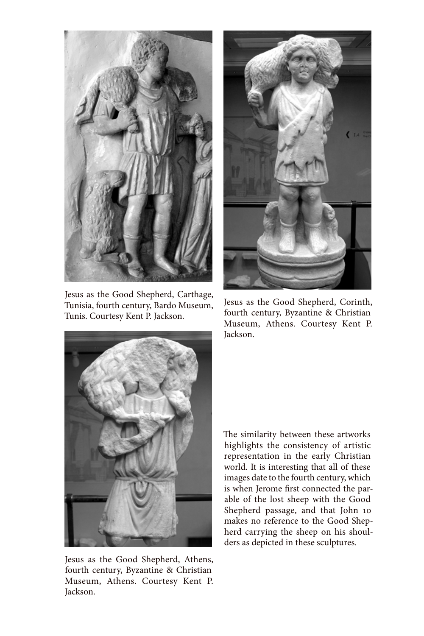

Jesus as the Good Shepherd, Carthage, Tunisia, fourth century, Bardo Museum, Tunis. Courtesy Kent P. Jackson.



Jesus as the Good Shepherd, Athens, fourth century, Byzantine & Christian Museum, Athens. Courtesy Kent P. Jackson.



Jesus as the Good Shepherd, Corinth, fourth century, Byzantine & Christian Museum, Athens. Courtesy Kent P. Jackson.

The similarity between these artworks highlights the consistency of artistic representation in the early Christian world. It is interesting that all of these images date to the fourth century, which is when Jerome first connected the parable of the lost sheep with the Good Shepherd passage, and that John 10 makes no reference to the Good Shepherd carrying the sheep on his shoulders as depicted in these sculptures.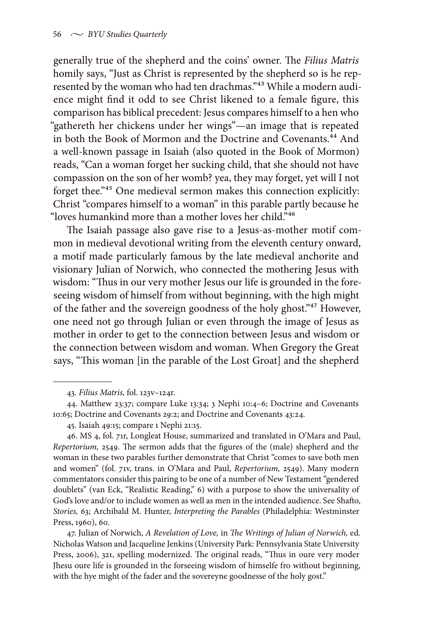generally true of the shepherd and the coins' owner. The *Filius Matris* homily says, "Just as Christ is represented by the shepherd so is he represented by the woman who had ten drachmas."43 While a modern audience might find it odd to see Christ likened to a female figure, this comparison has biblical precedent: Jesus compares himself to a hen who "gathereth her chickens under her wings"—an image that is repeated in both the Book of Mormon and the Doctrine and Covenants.<sup>44</sup> And a well-known passage in Isaiah (also quoted in the Book of Mormon) reads, "Can a woman forget her sucking child, that she should not have compassion on the son of her womb? yea, they may forget, yet will I not forget thee."45 One medieval sermon makes this connection explicitly: Christ "compares himself to a woman" in this parable partly because he "loves humankind more than a mother loves her child."46

The Isaiah passage also gave rise to a Jesus-as-mother motif common in medieval devotional writing from the eleventh century onward, a motif made particularly famous by the late medieval anchorite and visionary Julian of Norwich, who connected the mothering Jesus with wisdom: "Thus in our very mother Jesus our life is grounded in the foreseeing wisdom of himself from without beginning, with the high might of the father and the sovereign goodness of the holy ghost."47 However, one need not go through Julian or even through the image of Jesus as mother in order to get to the connection between Jesus and wisdom or the connection between wisdom and woman. When Gregory the Great says, "This woman [in the parable of the Lost Groat] and the shepherd

47. Julian of Norwich, *A Revelation of Love,* in *The Writings of Julian of Norwich,* ed. Nicholas Watson and Jacqueline Jenkins (University Park: Pennsylvania State University Press, 2006), 321, spelling modernized. The original reads, "Thus in oure very moder Jhesu oure life is grounded in the forseeing wisdom of himselfe fro without beginning, with the hye might of the fader and the sovereyne goodnesse of the holy gost."

<sup>43.</sup> *Filius Matris,* fol. 123v–124r.

<sup>44.</sup> Matthew 23:37; compare Luke 13:34; 3 Nephi 10:4–6; Doctrine and Covenants 10:65; Doctrine and Covenants 29:2; and Doctrine and Covenants 43:24.

<sup>45.</sup> Isaiah 49:15; compare 1 Nephi 21:15.

<sup>46.</sup> MS 4, fol. 71r, Longleat House, summarized and translated in O'Mara and Paul, *Repertorium,* 2549. The sermon adds that the figures of the (male) shepherd and the woman in these two parables further demonstrate that Christ "comes to save both men and women" (fol. 71v, trans. in O'Mara and Paul, *Repertorium,* 2549). Many modern commentators consider this pairing to be one of a number of New Testament "gendered doublets" (van Eck, "Realistic Reading," 6) with a purpose to show the universality of God's love and/or to include women as well as men in the intended audience. See Shafto, *Stories,* 63; Archibald M. Hunter, *Interpreting the Parables* (Philadelphia: Westminster Press, 1960), 60.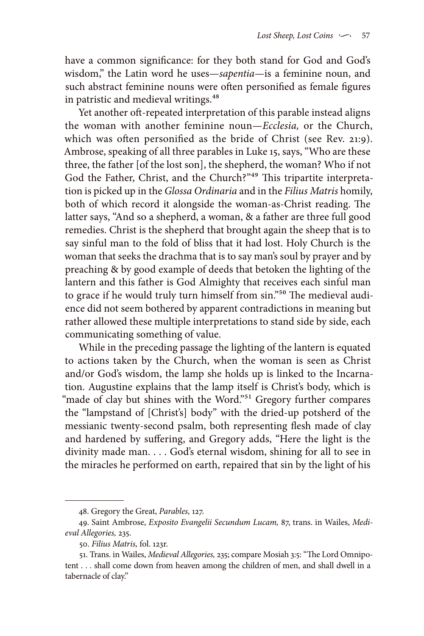have a common significance: for they both stand for God and God's wisdom," the Latin word he uses—*sapentia*—is a feminine noun, and such abstract feminine nouns were often personified as female figures in patristic and medieval writings.<sup>48</sup>

Yet another oft-repeated interpretation of this parable instead aligns the woman with another feminine noun—*Ecclesia,* or the Church, which was often personified as the bride of Christ (see Rev. 21:9). Ambrose, speaking of all three parables in Luke 15, says, "Who are these three, the father [of the lost son], the shepherd, the woman? Who if not God the Father, Christ, and the Church?"49 This tripartite interpretation is picked up in the *Glossa Ordinaria* and in the *Filius Matris* homily, both of which record it alongside the woman-as-Christ reading. The latter says, "And so a shepherd, a woman, & a father are three full good remedies. Christ is the shepherd that brought again the sheep that is to say sinful man to the fold of bliss that it had lost. Holy Church is the woman that seeks the drachma that is to say man's soul by prayer and by preaching & by good example of deeds that betoken the lighting of the lantern and this father is God Almighty that receives each sinful man to grace if he would truly turn himself from sin."<sup>50</sup> The medieval audience did not seem bothered by apparent contradictions in meaning but rather allowed these multiple interpretations to stand side by side, each communicating something of value.

While in the preceding passage the lighting of the lantern is equated to actions taken by the Church, when the woman is seen as Christ and/or God's wisdom, the lamp she holds up is linked to the Incarnation. Augustine explains that the lamp itself is Christ's body, which is "made of clay but shines with the Word."<sup>51</sup> Gregory further compares the "lampstand of [Christ's] body" with the dried-up potsherd of the messianic twenty-second psalm, both representing flesh made of clay and hardened by suffering, and Gregory adds, "Here the light is the divinity made man. . . . God's eternal wisdom, shining for all to see in the miracles he performed on earth, repaired that sin by the light of his

<sup>48.</sup> Gregory the Great, *Parables,* 127.

<sup>49.</sup> Saint Ambrose, *Exposito Evangelii Secundum Lucam,* 87, trans. in Wailes, *Medieval Allegories,* 235.

<sup>50.</sup> *Filius Matris,* fol. 123r.

<sup>51.</sup> Trans. in Wailes, *Medieval Allegories,* 235; compare Mosiah 3:5: "The Lord Omnipotent . . . shall come down from heaven among the children of men, and shall dwell in a tabernacle of clay."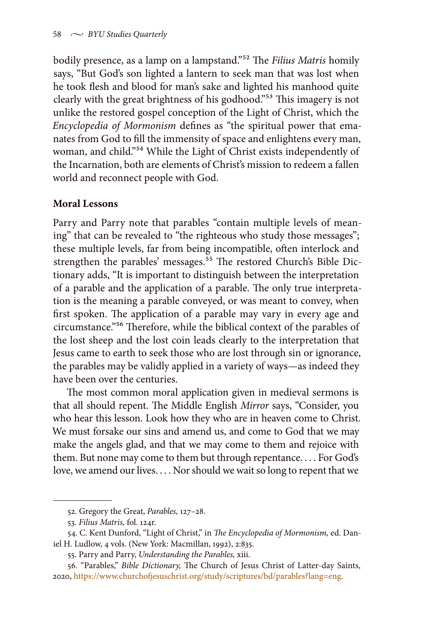bodily presence, as a lamp on a lampstand."52 The *Filius Matris* homily says, "But God's son lighted a lantern to seek man that was lost when he took flesh and blood for man's sake and lighted his manhood quite clearly with the great brightness of his godhood."53 This imagery is not unlike the restored gospel conception of the Light of Christ, which the *Encyclopedia of Mormonism* defines as "the spiritual power that emanates from God to fill the immensity of space and enlightens every man, woman, and child."54 While the Light of Christ exists independently of the Incarnation, both are elements of Christ's mission to redeem a fallen world and reconnect people with God.

#### **Moral Lessons**

Parry and Parry note that parables "contain multiple levels of meaning" that can be revealed to "the righteous who study those messages"; these multiple levels, far from being incompatible, often interlock and strengthen the parables' messages.<sup>55</sup> The restored Church's Bible Dictionary adds, "It is important to distinguish between the interpretation of a parable and the application of a parable. The only true interpretation is the meaning a parable conveyed, or was meant to convey, when first spoken. The application of a parable may vary in every age and circumstance."56 Therefore, while the biblical context of the parables of the lost sheep and the lost coin leads clearly to the interpretation that Jesus came to earth to seek those who are lost through sin or ignorance, the parables may be validly applied in a variety of ways—as indeed they have been over the centuries.

The most common moral application given in medieval sermons is that all should repent. The Middle English *Mirror* says, "Consider, you who hear this lesson. Look how they who are in heaven come to Christ. We must forsake our sins and amend us, and come to God that we may make the angels glad, and that we may come to them and rejoice with them. But none may come to them but through repentance. . . . For God's love, we amend our lives. . . . Nor should we wait so long to repent that we

<sup>52.</sup> Gregory the Great, *Parables,* 127–28.

<sup>53.</sup> *Filius Matris,* fol. 124r.

<sup>54.</sup> C. Kent Dunford, "Light of Christ," in *The Encyclopedia of Mormonism,* ed. Daniel H. Ludlow, 4 vols. (New York: Macmillan, 1992), 2:835.

<sup>55.</sup> Parry and Parry, *Understanding the Parables,* xiii.

<sup>56. &</sup>quot;Parables," *Bible Dictionary,* The Church of Jesus Christ of Latter-day Saints, 2020, [https://www.churchofjesuschrist.org/study/scriptures/bd/parables?lang=eng.](https://www.churchofjesuschrist.org/study/scriptures/bd/parables?lang=eng)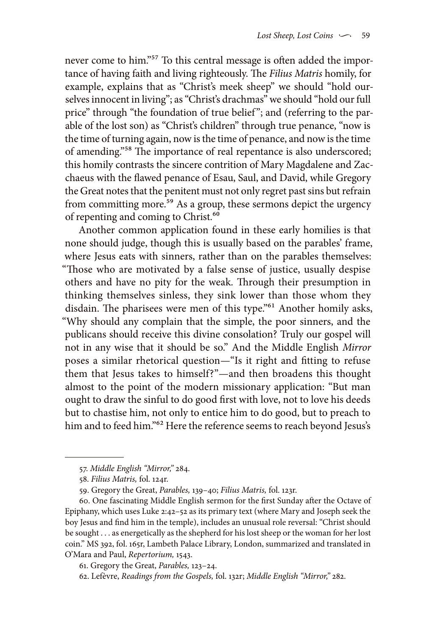never come to him."<sup>57</sup> To this central message is often added the importance of having faith and living righteously. The *Filius Matris* homily, for example, explains that as "Christ's meek sheep" we should "hold ourselves innocent in living"; as "Christ's drachmas" we should "hold our full price" through "the foundation of true belief"; and (referring to the parable of the lost son) as "Christ's children" through true penance, "now is the time of turning again, now is the time of penance, and now is the time of amending."58 The importance of real repentance is also underscored; this homily contrasts the sincere contrition of Mary Magdalene and Zacchaeus with the flawed penance of Esau, Saul, and David, while Gregory the Great notes that the penitent must not only regret past sins but refrain from committing more.<sup>59</sup> As a group, these sermons depict the urgency of repenting and coming to Christ.<sup>60</sup>

Another common application found in these early homilies is that none should judge, though this is usually based on the parables' frame, where Jesus eats with sinners, rather than on the parables themselves: "Those who are motivated by a false sense of justice, usually despise others and have no pity for the weak. Through their presumption in thinking themselves sinless, they sink lower than those whom they disdain. The pharisees were men of this type."<sup>61</sup> Another homily asks, "Why should any complain that the simple, the poor sinners, and the publicans should receive this divine consolation? Truly our gospel will not in any wise that it should be so." And the Middle English *Mirror* poses a similar rhetorical question—"Is it right and fitting to refuse them that Jesus takes to himself?"—and then broadens this thought almost to the point of the modern missionary application: "But man ought to draw the sinful to do good first with love, not to love his deeds but to chastise him, not only to entice him to do good, but to preach to him and to feed him."<sup>62</sup> Here the reference seems to reach beyond Jesus's

61. Gregory the Great, *Parables,* 123–24.

<sup>57.</sup> *Middle English "Mirror,"* 284.

<sup>58.</sup> *Filius Matris,* fol. 124r.

<sup>59.</sup> Gregory the Great, *Parables,* 139–40; *Filius Matris,* fol. 123r.

<sup>60.</sup> One fascinating Middle English sermon for the first Sunday after the Octave of Epiphany, which uses Luke 2:42–52 as its primary text (where Mary and Joseph seek the boy Jesus and find him in the temple), includes an unusual role reversal: "Christ should be sought . . . as energetically as the shepherd for his lost sheep or the woman for her lost coin." MS 392, fol. 165r, Lambeth Palace Library, London, summarized and translated in O'Mara and Paul, *Repertorium,* 1543.

<sup>62.</sup> Lefèvre, *Readings from the Gospels,* fol. 132r; *Middle English "Mirror,"* 282.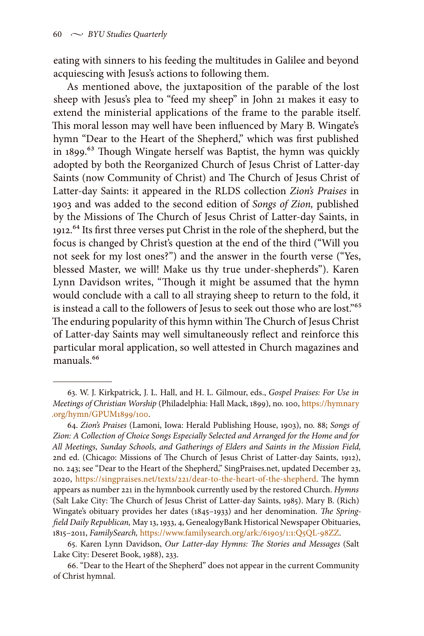eating with sinners to his feeding the multitudes in Galilee and beyond acquiescing with Jesus's actions to following them.

As mentioned above, the juxtaposition of the parable of the lost sheep with Jesus's plea to "feed my sheep" in John 21 makes it easy to extend the ministerial applications of the frame to the parable itself. This moral lesson may well have been influenced by Mary B. Wingate's hymn "Dear to the Heart of the Shepherd," which was first published in 1899.<sup>63</sup> Though Wingate herself was Baptist, the hymn was quickly adopted by both the Reorganized Church of Jesus Christ of Latter-day Saints (now Community of Christ) and The Church of Jesus Christ of Latter-day Saints: it appeared in the RLDS collection *Zion's Praises* in 1903 and was added to the second edition of *Songs of Zion,* published by the Missions of The Church of Jesus Christ of Latter-day Saints, in 1912.<sup>64</sup> Its first three verses put Christ in the role of the shepherd, but the focus is changed by Christ's question at the end of the third ("Will you not seek for my lost ones?") and the answer in the fourth verse ("Yes, blessed Master, we will! Make us thy true under-shepherds"). Karen Lynn Davidson writes, "Though it might be assumed that the hymn would conclude with a call to all straying sheep to return to the fold, it is instead a call to the followers of Jesus to seek out those who are lost."<sup>65</sup> The enduring popularity of this hymn within The Church of Jesus Christ of Latter-day Saints may well simultaneously reflect and reinforce this particular moral application, so well attested in Church magazines and manuals<sup>66</sup>

<sup>63.</sup> W. J. Kirkpatrick, J. L. Hall, and H. L. Gilmour, eds., *Gospel Praises: For Use in Meetings of Christian Worship* (Philadelphia: Hall Mack, 1899), no. 100, [https://hymnary](https://hymnary.org/hymn/GPUM1899/100) [.org/hymn/GPUM1899/100](https://hymnary.org/hymn/GPUM1899/100).

<sup>64.</sup> *Zion's Praises* (Lamoni, Iowa: Herald Publishing House, 1903), no. 88; *Songs of Zion: A Collection of Choice Songs Especially Selected and Arranged for the Home and for All Meetings, Sunday Schools, and Gatherings of Elders and Saints in the Mission Field,* 2nd ed. (Chicago: Missions of The Church of Jesus Christ of Latter-day Saints, 1912), no. 243; see "Dear to the Heart of the Shepherd," SingPraises.net, updated December 23, 2020, <https://singpraises.net/texts/221/dear-to-the-heart-of-the-shepherd>. The hymn appears as number 221 in the hymnbook currently used by the restored Church. *Hymns* (Salt Lake City: The Church of Jesus Christ of Latter-day Saints, 1985). Mary B. (Rich) Wingate's obituary provides her dates (1845–1933) and her denomination. *The Springfield Daily Republican,* May 13, 1933, 4, GenealogyBank Historical Newspaper Obituaries, 1815–2011, *FamilySearch,* [https://www.familysearch.org/ark:/61903/1:1:Q5QL-98ZZ.](https://www.familysearch.org/ark:/61903/1:1:Q5QL-98ZZ)

<sup>65.</sup> Karen Lynn Davidson, *Our Latter-day Hymns: The Stories and Messages* (Salt Lake City: Deseret Book, 1988), 233.

<sup>66. &</sup>quot;Dear to the Heart of the Shepherd" does not appear in the current Community of Christ hymnal.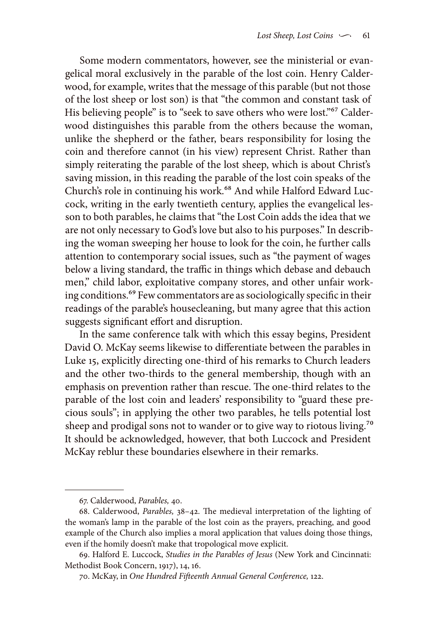Some modern commentators, however, see the ministerial or evangelical moral exclusively in the parable of the lost coin. Henry Calderwood, for example, writes that the message of this parable (but not those of the lost sheep or lost son) is that "the common and constant task of His believing people" is to "seek to save others who were lost."<sup>67</sup> Calderwood distinguishes this parable from the others because the woman, unlike the shepherd or the father, bears responsibility for losing the coin and therefore cannot (in his view) represent Christ. Rather than simply reiterating the parable of the lost sheep, which is about Christ's saving mission, in this reading the parable of the lost coin speaks of the Church's role in continuing his work.<sup>68</sup> And while Halford Edward Luccock, writing in the early twentieth century, applies the evangelical lesson to both parables, he claims that "the Lost Coin adds the idea that we are not only necessary to God's love but also to his purposes." In describing the woman sweeping her house to look for the coin, he further calls attention to contemporary social issues, such as "the payment of wages below a living standard, the traffic in things which debase and debauch men," child labor, exploitative company stores, and other unfair working conditions.69 Few commentators are as sociologically specific in their readings of the parable's housecleaning, but many agree that this action suggests significant effort and disruption.

In the same conference talk with which this essay begins, President David O. McKay seems likewise to differentiate between the parables in Luke 15, explicitly directing one-third of his remarks to Church leaders and the other two-thirds to the general membership, though with an emphasis on prevention rather than rescue. The one-third relates to the parable of the lost coin and leaders' responsibility to "guard these precious souls"; in applying the other two parables, he tells potential lost sheep and prodigal sons not to wander or to give way to riotous living.<sup>70</sup> It should be acknowledged, however, that both Luccock and President McKay reblur these boundaries elsewhere in their remarks.

<sup>67.</sup> Calderwood, *Parables,* 40.

<sup>68.</sup> Calderwood, *Parables,* 38–42. The medieval interpretation of the lighting of the woman's lamp in the parable of the lost coin as the prayers, preaching, and good example of the Church also implies a moral application that values doing those things, even if the homily doesn't make that tropological move explicit.

<sup>69.</sup> Halford E. Luccock, *Studies in the Parables of Jesus* (New York and Cincinnati: Methodist Book Concern, 1917), 14, 16.

<sup>70.</sup> McKay, in *One Hundred Fifteenth Annual General Conference,* 122.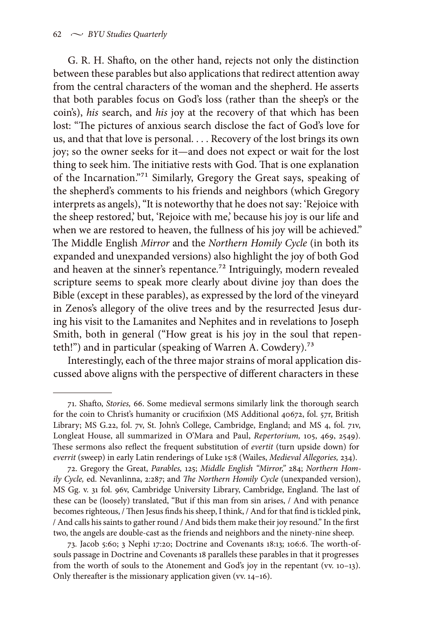G. R. H. Shafto, on the other hand, rejects not only the distinction between these parables but also applications that redirect attention away from the central characters of the woman and the shepherd. He asserts that both parables focus on God's loss (rather than the sheep's or the coin's), *his* search, and *his* joy at the recovery of that which has been lost: "The pictures of anxious search disclose the fact of God's love for us, and that that love is personal. . . . Recovery of the lost brings its own joy; so the owner seeks for it—and does not expect or wait for the lost thing to seek him. The initiative rests with God. That is one explanation of the Incarnation."71 Similarly, Gregory the Great says, speaking of the shepherd's comments to his friends and neighbors (which Gregory interprets as angels), "It is noteworthy that he does not say: 'Rejoice with the sheep restored,' but, 'Rejoice with me,' because his joy is our life and when we are restored to heaven, the fullness of his joy will be achieved." The Middle English *Mirror* and the *Northern Homily Cycle* (in both its expanded and unexpanded versions) also highlight the joy of both God and heaven at the sinner's repentance.<sup>72</sup> Intriguingly, modern revealed scripture seems to speak more clearly about divine joy than does the Bible (except in these parables), as expressed by the lord of the vineyard in Zenos's allegory of the olive trees and by the resurrected Jesus during his visit to the Lamanites and Nephites and in revelations to Joseph Smith, both in general ("How great is his joy in the soul that repenteth!") and in particular (speaking of Warren A. Cowdery).<sup>73</sup>

Interestingly, each of the three major strains of moral application discussed above aligns with the perspective of different characters in these

<sup>71.</sup> Shafto, *Stories,* 66. Some medieval sermons similarly link the thorough search for the coin to Christ's humanity or crucifixion (MS Additional 40672, fol. 57r, British Library; MS G.22, fol. 7v, St. John's College, Cambridge, England; and MS 4, fol. 71v, Longleat House, all summarized in O'Mara and Paul, *Repertorium,* 105, 469, 2549). These sermons also reflect the frequent substitution of *evertit* (turn upside down) for *everrit* (sweep) in early Latin renderings of Luke 15:8 (Wailes, *Medieval Allegories,* 234).

<sup>72.</sup> Gregory the Great, *Parables,* 125; *Middle English "Mirror,"* 284; *Northern Homily Cycle,* ed. Nevanlinna, 2:287; and *The Northern Homily Cycle* (unexpanded version), MS Gg. v. 31 fol. 96v, Cambridge University Library, Cambridge, England. The last of these can be (loosely) translated, "But if this man from sin arises, / And with penance becomes righteous, / Then Jesus finds his sheep, I think, / And for that find is tickled pink, / And calls his saints to gather round / And bids them make their joy resound." In the first two, the angels are double-cast as the friends and neighbors and the ninety-nine sheep.

<sup>73.</sup> Jacob 5:60; 3 Nephi 17:20; Doctrine and Covenants 18:13; 106:6. The worth-ofsouls passage in Doctrine and Covenants 18 parallels these parables in that it progresses from the worth of souls to the Atonement and God's joy in the repentant (vv. 10–13). Only thereafter is the missionary application given (vv. 14–16).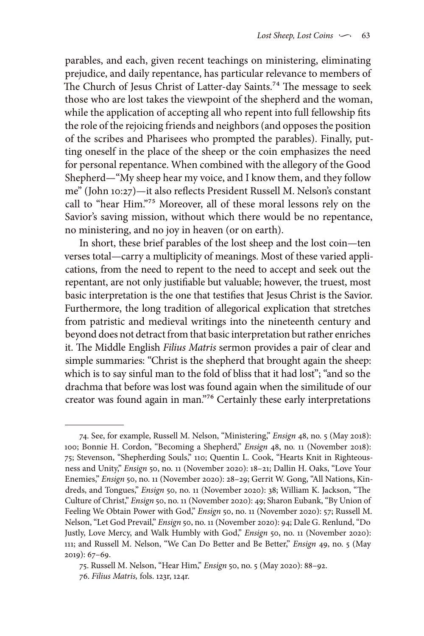parables, and each, given recent teachings on ministering, eliminating prejudice, and daily repentance, has particular relevance to members of The Church of Jesus Christ of Latter-day Saints.<sup>74</sup> The message to seek those who are lost takes the viewpoint of the shepherd and the woman, while the application of accepting all who repent into full fellowship fits the role of the rejoicing friends and neighbors (and opposes the position of the scribes and Pharisees who prompted the parables). Finally, putting oneself in the place of the sheep or the coin emphasizes the need for personal repentance. When combined with the allegory of the Good Shepherd—"My sheep hear my voice, and I know them, and they follow me" (John 10:27)—it also reflects President Russell M. Nelson's constant call to "hear Him."75 Moreover, all of these moral lessons rely on the Savior's saving mission, without which there would be no repentance, no ministering, and no joy in heaven (or on earth).

In short, these brief parables of the lost sheep and the lost coin—ten verses total—carry a multiplicity of meanings. Most of these varied applications, from the need to repent to the need to accept and seek out the repentant, are not only justifiable but valuable; however, the truest, most basic interpretation is the one that testifies that Jesus Christ is the Savior. Furthermore, the long tradition of allegorical explication that stretches from patristic and medieval writings into the nineteenth century and beyond does not detract from that basic interpretation but rather enriches it. The Middle English *Filius Matris* sermon provides a pair of clear and simple summaries: "Christ is the shepherd that brought again the sheep: which is to say sinful man to the fold of bliss that it had lost"; "and so the drachma that before was lost was found again when the similitude of our creator was found again in man."76 Certainly these early interpretations

<sup>74.</sup> See, for example, Russell M. Nelson, "Ministering," *Ensign* 48, no. 5 (May 2018): 100; Bonnie H. Cordon, "Becoming a Shepherd," *Ensign* 48, no. 11 (November 2018): 75; Stevenson, "Shepherding Souls," 110; Quentin L. Cook, "Hearts Knit in Righteousness and Unity," *Ensign* 50, no. 11 (November 2020): 18–21; Dallin H. Oaks, "Love Your Enemies," *Ensign* 50, no. 11 (November 2020): 28–29; Gerrit W. Gong, "All Nations, Kindreds, and Tongues," *Ensign* 50, no. 11 (November 2020): 38; William K. Jackson, "The Culture of Christ," *Ensign* 50, no. 11 (November 2020): 49; Sharon Eubank, "By Union of Feeling We Obtain Power with God," *Ensign* 50, no. 11 (November 2020): 57; Russell M. Nelson, "Let God Prevail," *Ensign* 50, no. 11 (November 2020): 94; Dale G. Renlund, "Do Justly, Love Mercy, and Walk Humbly with God," *Ensign* 50, no. 11 (November 2020): 111; and Russell M. Nelson, "We Can Do Better and Be Better," *Ensign* 49, no. 5 (May 2019): 67–69.

<sup>75.</sup> Russell M. Nelson, "Hear Him," *Ensign* 50, no. 5 (May 2020): 88–92. 76. *Filius Matris,* fols. 123r, 124r.